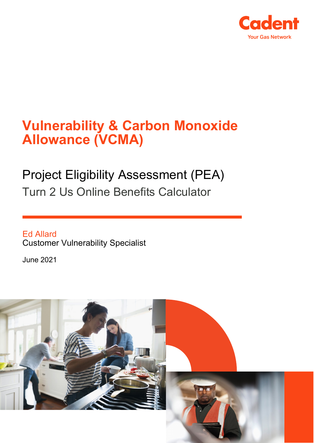

# **Vulnerability & Carbon Monoxide Allowance (VCMA)**

# Project Eligibility Assessment (PEA) Turn 2 Us Online Benefits Calculator

Ed Allard Customer Vulnerability Specialist

June 2021

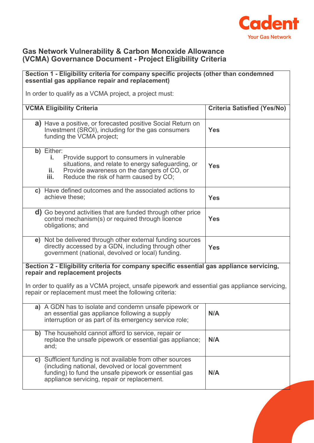

### **Gas Network Vulnerability & Carbon Monoxide Allowance (VCMA) Governance Document - Project Eligibility Criteria**

#### **Section 1 - Eligibility criteria for company specific projects (other than condemned essential gas appliance repair and replacement)** In order to qualify as a VCMA project, a project must: **VCMA Eligibility Criteria Criteria Satisfied (Yes/No) a)** Have a positive, or forecasted positive Social Return on Investment (SROI), including for the gas consumers funding the VCMA project; **Yes b)** Either: **i.** Provide support to consumers in vulnerable situations, and relate to energy safeguarding, or **ii.** Provide awareness on the dangers of CO, or<br>**iii.** Reduce the risk of harm caused by CO. Reduce the risk of harm caused by CO; **Yes c)** Have defined outcomes and the associated actions to achieve these; **Yes d)** Go beyond activities that are funded through other price control mechanism(s) or required through licence obligations; and **Yes e)** Not be delivered through other external funding sources directly accessed by a GDN, including through other government (national, devolved or local) funding. **Yes Section 2 - Eligibility criteria for company specific essential gas appliance servicing, repair and replacement projects** In order to qualify as a VCMA project, unsafe pipework and essential gas appliance servicing, repair or replacement must meet the following criteria: **a)** A GDN has to isolate and condemn unsafe pipework or an essential gas appliance following a supply interruption or as part of its emergency service role; **N/A b)** The household cannot afford to service, repair or replace the unsafe pipework or essential gas appliance; and; **N/A c)** Sufficient funding is not available from other sources (including national, devolved or local government funding) to fund the unsafe pipework or essential gas appliance servicing, repair or replacement. **N/A**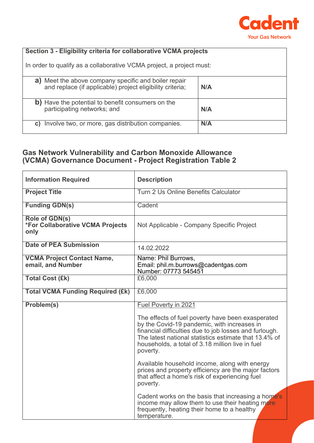

### **Section 3 - Eligibility criteria for collaborative VCMA projects**

In order to qualify as a collaborative VCMA project, a project must:

| a) Meet the above company specific and boiler repair<br>and replace (if applicable) project eligibility criteria; | N/A |
|-------------------------------------------------------------------------------------------------------------------|-----|
| b) Have the potential to benefit consumers on the<br>participating networks; and                                  | N/A |
| Involve two, or more, gas distribution companies.<br>C)                                                           | N/A |

## **Gas Network Vulnerability and Carbon Monoxide Allowance (VCMA) Governance Document - Project Registration Table 2**

| <b>Information Required</b>                                | <b>Description</b>                                                                                                                                                                                                                                                                  |
|------------------------------------------------------------|-------------------------------------------------------------------------------------------------------------------------------------------------------------------------------------------------------------------------------------------------------------------------------------|
| <b>Project Title</b>                                       | Turn 2 Us Online Benefits Calculator                                                                                                                                                                                                                                                |
| <b>Funding GDN(s)</b>                                      | Cadent                                                                                                                                                                                                                                                                              |
| Role of GDN(s)<br>*For Collaborative VCMA Projects<br>only | Not Applicable - Company Specific Project                                                                                                                                                                                                                                           |
| <b>Date of PEA Submission</b>                              | 14.02.2022                                                                                                                                                                                                                                                                          |
| <b>VCMA Project Contact Name,</b><br>email, and Number     | Name: Phil Burrows,<br>Email: phil.m.burrows@cadentgas.com<br>Number: 07773 545451                                                                                                                                                                                                  |
| <b>Total Cost (£k)</b>                                     | £6,000                                                                                                                                                                                                                                                                              |
| <b>Total VCMA Funding Required (£k)</b>                    | £6,000                                                                                                                                                                                                                                                                              |
| Problem(s)                                                 | Fuel Poverty in 2021                                                                                                                                                                                                                                                                |
|                                                            | The effects of fuel poverty have been exasperated<br>by the Covid-19 pandemic, with increases in<br>financial difficulties due to job losses and furlough.<br>The latest national statistics estimate that 13.4% of<br>households, a total of 3.18 million live in fuel<br>poverty. |
|                                                            | Available household income, along with energy<br>prices and property efficiency are the major factors<br>that affect a home's risk of experiencing fuel<br>poverty.                                                                                                                 |
|                                                            | Cadent works on the basis that increasing a home's<br>income may allow them to use their heating more<br>frequently, heating their home to a healthy<br>temperature.                                                                                                                |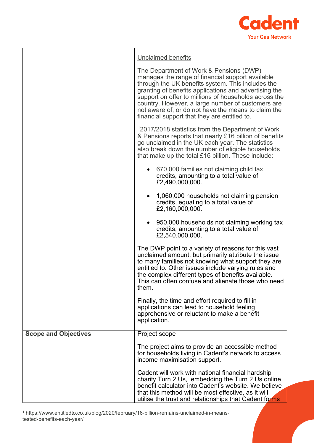

|                             | <b>Unclaimed benefits</b>                                                                                                                                                                                                                                                                                                                                                                                                      |
|-----------------------------|--------------------------------------------------------------------------------------------------------------------------------------------------------------------------------------------------------------------------------------------------------------------------------------------------------------------------------------------------------------------------------------------------------------------------------|
|                             | The Department of Work & Pensions (DWP)<br>manages the range of financial support available<br>through the UK benefits system. This includes the<br>granting of benefits applications and advertising the<br>support on offer to millions of households across the<br>country. However, a large number of customers are<br>not aware of, or do not have the means to claim the<br>financial support that they are entitled to. |
|                             | <sup>1</sup> 2017/2018 statistics from the Department of Work<br>& Pensions reports that nearly £16 billion of benefits<br>go unclaimed in the UK each year. The statistics<br>also break down the number of eligible households<br>that make up the total £16 billion. These include:                                                                                                                                         |
|                             | • 670,000 families not claiming child tax<br>credits, amounting to a total value of<br>£2,490,000,000.                                                                                                                                                                                                                                                                                                                         |
|                             | 1,060,000 households not claiming pension<br>$\bullet$<br>credits, equating to a total value of<br>£2,160,000,000.                                                                                                                                                                                                                                                                                                             |
|                             | 950,000 households not claiming working tax<br>credits, amounting to a total value of<br>£2,540,000,000.                                                                                                                                                                                                                                                                                                                       |
|                             | The DWP point to a variety of reasons for this vast<br>unclaimed amount, but primarily attribute the issue<br>to many families not knowing what support they are<br>entitled to. Other issues include varying rules and<br>the complex different types of benefits available.<br>This can often confuse and alienate those who need<br>them.                                                                                   |
|                             | Finally, the time and effort required to fill in<br>applications can lead to household feeling<br>apprehensive or reluctant to make a benefit<br>application.                                                                                                                                                                                                                                                                  |
| <b>Scope and Objectives</b> | Project scope                                                                                                                                                                                                                                                                                                                                                                                                                  |
|                             | The project aims to provide an accessible method<br>for households living in Cadent's network to access<br>income maximisation support.                                                                                                                                                                                                                                                                                        |
|                             | Cadent will work with national financial hardship<br>charity Turn 2 Us, embedding the Turn 2 Us online<br>benefit calculator into Cadent's website. We believe                                                                                                                                                                                                                                                                 |
|                             | that this method will be most effective, as it will<br>utilise the trust and relationships that Cadent forms                                                                                                                                                                                                                                                                                                                   |

<span id="page-3-0"></span><sup>1</sup> https://www.entitledto.co.uk/blog/2020/february/16-billion-remains-unclaimed-in-meanstested-benefits-each-year/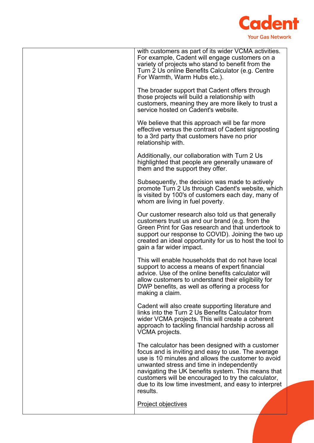

| with customers as part of its wider VCMA activities.<br>For example, Cadent will engage customers on a<br>variety of projects who stand to benefit from the<br>Turn 2 Us online Benefits Calculator (e.g. Centre<br>For Warmth, Warm Hubs etc.).                                                                                                                                            |
|---------------------------------------------------------------------------------------------------------------------------------------------------------------------------------------------------------------------------------------------------------------------------------------------------------------------------------------------------------------------------------------------|
| The broader support that Cadent offers through<br>those projects will build a relationship with<br>customers, meaning they are more likely to trust a<br>service hosted on Cadent's website.                                                                                                                                                                                                |
| We believe that this approach will be far more<br>effective versus the contrast of Cadent signposting<br>to a 3rd party that customers have no prior<br>relationship with.                                                                                                                                                                                                                  |
| Additionally, our collaboration with Turn 2 Us<br>highlighted that people are generally unaware of<br>them and the support they offer.                                                                                                                                                                                                                                                      |
| Subsequently, the decision was made to actively<br>promote Turn 2 Us through Cadent's website, which<br>is visited by 100's of customers each day, many of<br>whom are living in fuel poverty.                                                                                                                                                                                              |
| Our customer research also told us that generally<br>customers trust us and our brand (e.g. from the<br>Green Print for Gas research and that undertook to<br>support our response to COVID). Joining the two up<br>created an ideal opportunity for us to host the tool to<br>gain a far wider impact.                                                                                     |
| This will enable households that do not have local<br>support to access a means of expert financial<br>advice. Use of the online benefits calculator will<br>allow customers to understand their eligibility for<br>DWP benefits, as well as offering a process for<br>making a claim.                                                                                                      |
| Cadent will also create supporting literature and<br>links into the Turn 2 Us Benefits Calculator from<br>wider VCMA projects. This will create a coherent<br>approach to tackling financial hardship across all<br>VCMA projects.                                                                                                                                                          |
| The calculator has been designed with a customer<br>focus and is inviting and easy to use. The average<br>use is 10 minutes and allows the customer to avoid<br>unwanted stress and time in independently<br>navigating the UK benefits system. This means that<br>customers will be encouraged to try the calculator,<br>due to its low time investment, and easy to interpret<br>results. |
| Project objectives                                                                                                                                                                                                                                                                                                                                                                          |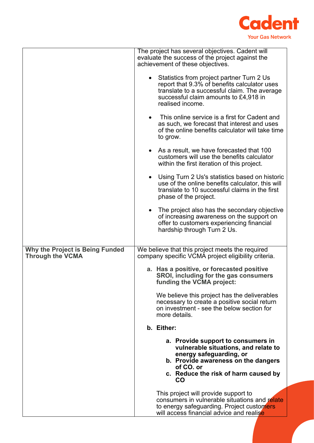

|                                                                   | The project has several objectives. Cadent will<br>evaluate the success of the project against the<br>achievement of these objectives.                                                                  |
|-------------------------------------------------------------------|---------------------------------------------------------------------------------------------------------------------------------------------------------------------------------------------------------|
|                                                                   | Statistics from project partner Turn 2 Us<br>report that 9.3% of benefits calculator uses<br>translate to a successful claim. The average<br>successful claim amounts to £4,918 in<br>realised income.  |
|                                                                   | This online service is a first for Cadent and<br>as such, we forecast that interest and uses<br>of the online benefits calculator will take time<br>to grow.                                            |
|                                                                   | As a result, we have forecasted that 100<br>customers will use the benefits calculator<br>within the first iteration of this project.                                                                   |
|                                                                   | Using Turn 2 Us's statistics based on historic<br>use of the online benefits calculator, this will<br>translate to 10 successful claims in the first<br>phase of the project.                           |
|                                                                   | The project also has the secondary objective<br>of increasing awareness on the support on<br>offer to customers experiencing financial<br>hardship through Turn 2 Us.                                   |
| <b>Why the Project is Being Funded</b><br><b>Through the VCMA</b> | We believe that this project meets the required<br>company specific VCMA project eligibility criteria.                                                                                                  |
|                                                                   | a. Has a positive, or forecasted positive<br>SROI, including for the gas consumers<br>funding the VCMA project:                                                                                         |
|                                                                   | We believe this project has the deliverables<br>necessary to create a positive social return<br>on investment - see the below section for<br>more details.                                              |
|                                                                   | b. Either:                                                                                                                                                                                              |
|                                                                   | a. Provide support to consumers in<br>vulnerable situations, and relate to<br>energy safeguarding, or<br>b. Provide awareness on the dangers<br>of CO. or<br>c. Reduce the risk of harm caused by<br>CO |
|                                                                   | This project will provide support to<br>consumers in vulnerable situations and relate<br>to energy safeguarding. Project customers<br>will access financial advice and realise                          |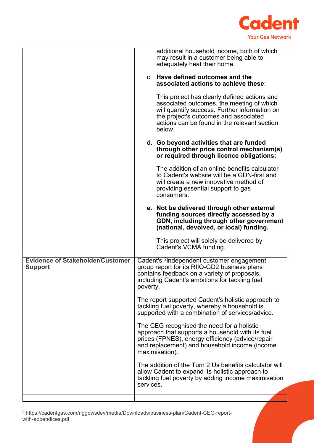

|                                                           | additional household income, both of which<br>may result in a customer being able to<br>adequately heat their home.<br>c. Have defined outcomes and the<br>associated actions to achieve these:<br>This project has clearly defined actions and<br>associated outcomes, the meeting of which<br>will quantify success. Further information on<br>the project's outcomes and associated<br>actions can be found in the relevant section<br>below. |
|-----------------------------------------------------------|--------------------------------------------------------------------------------------------------------------------------------------------------------------------------------------------------------------------------------------------------------------------------------------------------------------------------------------------------------------------------------------------------------------------------------------------------|
|                                                           | d. Go beyond activities that are funded<br>through other price control mechanism(s)<br>or required through licence obligations;                                                                                                                                                                                                                                                                                                                  |
|                                                           | The addition of an online benefits calculator<br>to Cadent's website will be a GDN-first and<br>will create a new innovative method of<br>providing essential support to gas<br>consumers.                                                                                                                                                                                                                                                       |
|                                                           | e. Not be delivered through other external<br>funding sources directly accessed by a<br>GDN, including through other government<br>(national, devolved, or local) funding.                                                                                                                                                                                                                                                                       |
|                                                           | This project will solely be delivered by<br>Cadent's VCMA funding.                                                                                                                                                                                                                                                                                                                                                                               |
| <b>Evidence of Stakeholder/Customer</b><br><b>Support</b> | Cadent's <sup>2</sup> independent customer engagement<br>group report for its RIIO-GD2 business plans<br>contains feedback on a variety of proposals,<br>including Cadent's ambitions for tackling fuel<br>poverty.                                                                                                                                                                                                                              |
|                                                           | The report supported Cadent's holistic approach to<br>tackling fuel poverty, whereby a household is<br>supported with a combination of services/advice.                                                                                                                                                                                                                                                                                          |
|                                                           | The CEG recognised the need for a holistic<br>approach that supports a household with its fuel<br>prices (FPNES), energy efficiency (advice/repair<br>and replacement) and household income (income<br>maximisation).                                                                                                                                                                                                                            |
|                                                           | The addition of the Turn 2 Us benefits calculator will<br>allow Cadent to expand its holistic approach to<br>tackling fuel poverty by adding income maximisation<br>services.                                                                                                                                                                                                                                                                    |
|                                                           |                                                                                                                                                                                                                                                                                                                                                                                                                                                  |

<span id="page-6-0"></span><sup>2</sup> https://cadentgas.com/nggdwsdev/media/Downloads/business-plan/Cadent-CEG-reportwith-appendices.pdf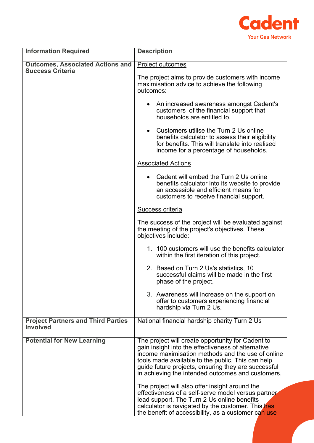

| <b>Information Required</b>                                  | <b>Description</b>                                                                                                                                                                                                                                                                                                            |  |
|--------------------------------------------------------------|-------------------------------------------------------------------------------------------------------------------------------------------------------------------------------------------------------------------------------------------------------------------------------------------------------------------------------|--|
| <b>Outcomes, Associated Actions and</b>                      | Project outcomes                                                                                                                                                                                                                                                                                                              |  |
| <b>Success Criteria</b>                                      | The project aims to provide customers with income<br>maximisation advice to achieve the following<br>outcomes:                                                                                                                                                                                                                |  |
|                                                              | An increased awareness amongst Cadent's<br>$\bullet$<br>customers of the financial support that<br>households are entitled to.                                                                                                                                                                                                |  |
|                                                              | • Customers utilise the Turn 2 Us online<br>benefits calculator to assess their eligibility<br>for benefits. This will translate into realised<br>income for a percentage of households.                                                                                                                                      |  |
|                                                              | <b>Associated Actions</b>                                                                                                                                                                                                                                                                                                     |  |
|                                                              | • Cadent will embed the Turn 2 Us online<br>benefits calculator into its website to provide<br>an accessible and efficient means for<br>customers to receive financial support.                                                                                                                                               |  |
|                                                              | <b>Success criteria</b>                                                                                                                                                                                                                                                                                                       |  |
|                                                              | The success of the project will be evaluated against<br>the meeting of the project's objectives. These<br>objectives include:                                                                                                                                                                                                 |  |
|                                                              | 1. 100 customers will use the benefits calculator<br>within the first iteration of this project.                                                                                                                                                                                                                              |  |
|                                                              | 2. Based on Turn 2 Us's statistics, 10<br>successful claims will be made in the first<br>phase of the project.                                                                                                                                                                                                                |  |
|                                                              | 3. Awareness will increase on the support on<br>offer to customers experiencing financial<br>hardship via Turn 2 Us.                                                                                                                                                                                                          |  |
| <b>Project Partners and Third Parties</b><br><b>Involved</b> | National financial hardship charity Turn 2 Us                                                                                                                                                                                                                                                                                 |  |
| <b>Potential for New Learning</b>                            | The project will create opportunity for Cadent to<br>gain insight into the effectiveness of alternative<br>income maximisation methods and the use of online<br>tools made available to the public. This can help<br>guide future projects, ensuring they are successful<br>in achieving the intended outcomes and customers. |  |
|                                                              | The project will also offer insight around the<br>effectiveness of a self-serve model versus partner<br>lead support. The Turn 2 Us online benefits<br>calculator is navigated by the customer. This has<br>the benefit of accessibility, as a customer can use                                                               |  |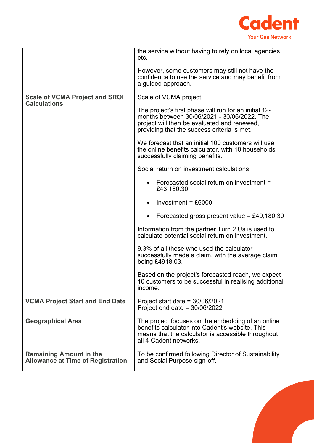

|                                                                            | the service without having to rely on local agencies<br>etc.                                                                                                                                       |
|----------------------------------------------------------------------------|----------------------------------------------------------------------------------------------------------------------------------------------------------------------------------------------------|
|                                                                            | However, some customers may still not have the<br>confidence to use the service and may benefit from<br>a guided approach.                                                                         |
| <b>Scale of VCMA Project and SROI</b><br><b>Calculations</b>               | Scale of VCMA project                                                                                                                                                                              |
|                                                                            | The project's first phase will run for an initial 12-<br>months between 30/06/2021 - 30/06/2022. The<br>project will then be evaluated and renewed,<br>providing that the success criteria is met. |
|                                                                            | We forecast that an initial 100 customers will use<br>the online benefits calculator, with 10 households<br>successfully claiming benefits.                                                        |
|                                                                            | Social return on investment calculations                                                                                                                                                           |
|                                                                            | Forecasted social return on investment =<br>$\bullet$<br>£43,180.30                                                                                                                                |
|                                                                            | Investment = $£6000$                                                                                                                                                                               |
|                                                                            | Forecasted gross present value = £49,180.30<br>$\bullet$                                                                                                                                           |
|                                                                            | Information from the partner Turn 2 Us is used to<br>calculate potential social return on investment.                                                                                              |
|                                                                            | 9.3% of all those who used the calculator<br>successfully made a claim, with the average claim<br>being £4918.03.                                                                                  |
|                                                                            | Based on the project's forecasted reach, we expect<br>10 customers to be successful in realising additional<br>income.                                                                             |
| <b>VCMA Project Start and End Date</b>                                     | Project start date = $30/06/2021$<br>Project end date = $30/06/2022$                                                                                                                               |
| <b>Geographical Area</b>                                                   | The project focuses on the embedding of an online<br>benefits calculator into Cadent's website. This<br>means that the calculator is accessible throughout<br>all 4 Cadent networks.               |
| <b>Remaining Amount in the</b><br><b>Allowance at Time of Registration</b> | To be confirmed following Director of Sustainability<br>and Social Purpose sign-off.                                                                                                               |